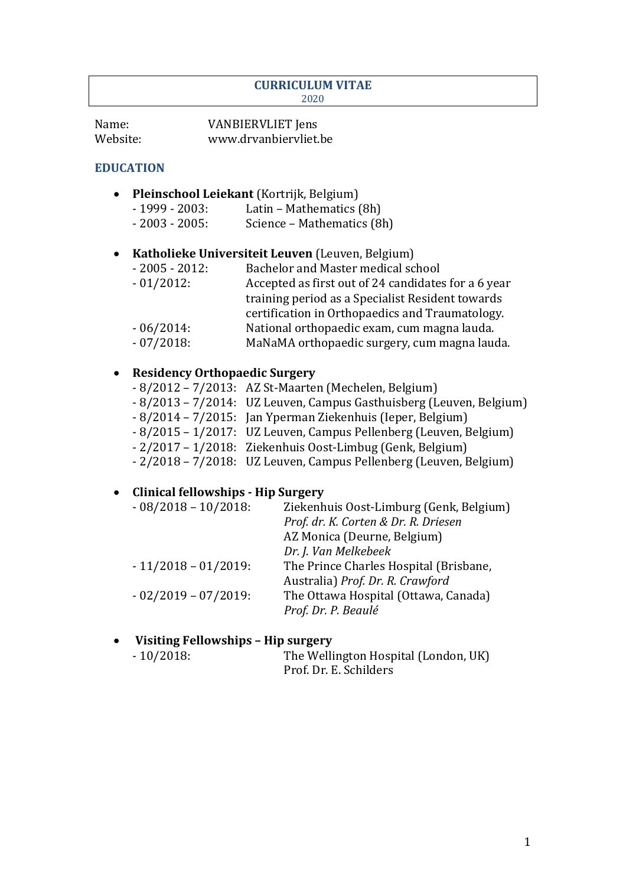#### **CURRICULUM VITAE** 2020

| Name:    | <b>VANBIERVLIET</b> Jens |
|----------|--------------------------|
| Website: | www.drvanbiervliet.be    |

#### **EDUCATION**

- **Pleinschool Leiekant** (Kortrijk, Belgium)
	- $-1999 2003$ : Latin Mathematics (8h)
		- 2003 2005: Science Mathematics (8h)

## • Katholieke Universiteit Leuven (Leuven, Belgium)

- 2005 2012: Bachelor and Master medical school - 01/2012: Accepted as first out of 24 candidates for a 6 year training period as a Specialist Resident towards certification in Orthopaedics and Traumatology. - 06/2014: National orthopaedic exam, cum magna lauda.
- 07/2018: MaNaMA orthopaedic surgery, cum magna lauda.

### • **Residency Orthopaedic Surgery**

- $-8/2012 7/2013$ : AZ St-Maarten (Mechelen, Belgium)
- 8/2013 7/2014: UZ Leuven, Campus Gasthuisberg (Leuven, Belgium)
- 8/2014 7/2015: Jan Yperman Ziekenhuis (Ieper, Belgium)
- 8/2015 1/2017: UZ Leuven, Campus Pellenberg (Leuven, Belgium)
- 2/2017 1/2018: Ziekenhuis Oost-Limbug (Genk, Belgium)
- 2/2018 7/2018: UZ Leuven, Campus Pellenberg (Leuven, Belgium)

#### • **Clinical fellowships - Hip Surgery**

| $-08/2018 - 10/2018$ : | Ziekenhuis Oost-Limburg (Genk, Belgium) |
|------------------------|-----------------------------------------|
|                        | Prof. dr. K. Corten & Dr. R. Driesen    |
|                        | AZ Monica (Deurne, Belgium)             |
|                        | Dr. J. Van Melkebeek                    |
| $-11/2018 - 01/2019$ : | The Prince Charles Hospital (Brisbane,  |
|                        | Australia) Prof. Dr. R. Crawford        |
| $-02/2019 - 07/2019$ : | The Ottawa Hospital (Ottawa, Canada)    |
|                        | Prof. Dr. P. Beaulé                     |
|                        |                                         |

#### **Visiting Fellowships - Hip surgery**

| $-10/2018$ : | The Wellington Hospital (London, UK) |
|--------------|--------------------------------------|
|              | Prof. Dr. E. Schilders               |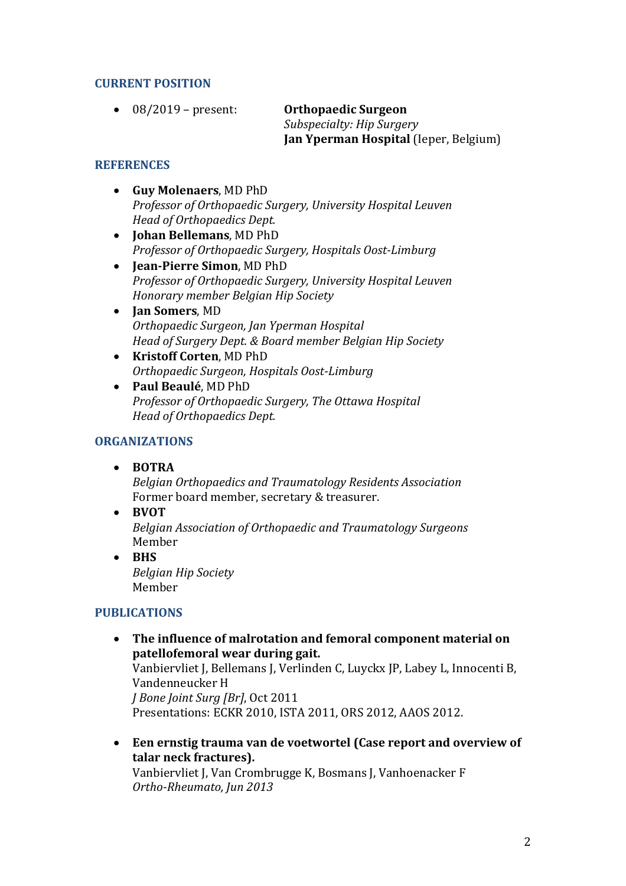### **CURRENT POSITION**

• 08/2019 – present: **Orthopaedic Surgeon** 

*Subspecialty: Hip Surgery* **Jan Yperman Hospital** (Ieper, Belgium)

#### **REFERENCES**

- **Guy Molenaers**, MD PhD *Professor of Orthopaedic Surgery, University Hospital Leuven Head of Orthopaedics Dept.*
- **Johan Bellemans**, MD PhD *Professor of Orthopaedic Surgery, Hospitals Oost-Limburg*
- **Jean-Pierre Simon**, MD PhD *Professor of Orthopaedic Surgery, University Hospital Leuven Honorary member Belgian Hip Society*
- **Jan Somers**, MD *Orthopaedic Surgeon, Jan Yperman Hospital Head of Surgery Dept. & Board member Belgian Hip Society*
- Kristoff Corten, MD PhD *Orthopaedic Surgeon, Hospitals Oost-Limburg*
- **Paul Beaulé**, MD PhD *Professor of Orthopaedic Surgery, The Ottawa Hospital Head of Orthopaedics Dept.*

### **ORGANIZATIONS**

• **BOTRA**

*Belgian Orthopaedics and Traumatology Residents Association* Former board member, secretary & treasurer.

• **BVOT**

*Belgian Association of Orthopaedic and Traumatology Surgeons* Member

• **BHS** *Belgian Hip Society* Member

## **PUBLICATIONS**

• The influence of malrotation and femoral component material on **patellofemoral wear during gait.**

Vanbiervliet J, Bellemans J, Verlinden C, Luyckx JP, Labey L, Innocenti B, Vandenneucker H *<i>J* Bone Joint Surg [Br], Oct 2011 Presentations: ECKR 2010, ISTA 2011, ORS 2012, AAOS 2012.

• Een ernstig trauma van de voetwortel (Case report and overview of talar neck fractures).

Vanbiervliet J, Van Crombrugge K, Bosmans J, Vanhoenacker F *Ortho-Rheumato, Jun 2013*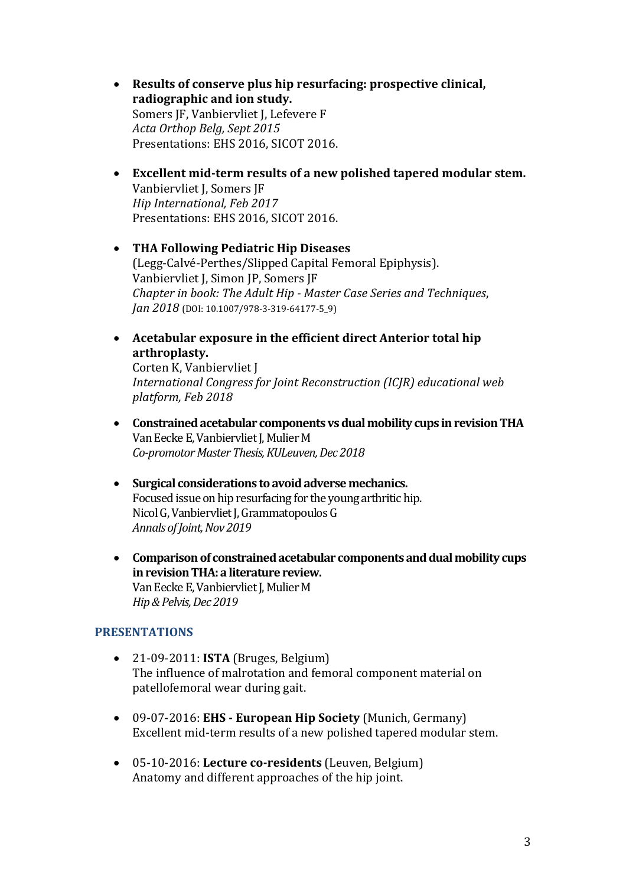- Results of conserve plus hip resurfacing: prospective clinical, radiographic and ion study. Somers JF, Vanbiervliet J, Lefevere F *Acta Orthop Belg, Sept 2015* Presentations: EHS 2016, SICOT 2016.
- Excellent mid-term results of a new polished tapered modular stem. Vanbiervliet J, Somers JF *Hip International, Feb 2017* Presentations: EHS 2016, SICOT 2016.
- **THA Following Pediatric Hip Diseases**  (Legg-Calvé-Perthes/Slipped Capital Femoral Epiphysis). Vanbiervliet J, Simon JP, Somers JF *Chapter in book: The Adult Hip - Master Case Series and Techniques, Jan 2018* (DOI: 10.1007/978-3-319-64177-5\_9)
- Acetabular exposure in the efficient direct Anterior total hip **arthroplasty.**

Corten K, Vanbiervliet J *International Congress for Joint Reconstruction (ICJR) educational web platform, Feb 2018*

- Constrained acetabular components vs dual mobility cups in revision THA Van Eecke E, Vanbiervliet J, Mulier M *Co-promotor Master Thesis, KULeuven, Dec 2018*
- Surgical considerations to avoid adverse mechanics. Focused issue on hip resurfacing for the young arthritic hip. Nicol G, Vanbiervliet J, Grammatopoulos G *Annals of Joint, Nov 2019*
- Comparison of constrained acetabular components and dual mobility cups **in revision THA: a literature review.** Van Eecke E, Vanbiervliet J, Mulier M *Hip & Pelvis, Dec 2019*

#### **PRESENTATIONS**

- $\bullet$  21-09-2011: **ISTA** (Bruges, Belgium) The influence of malrotation and femoral component material on patellofemoral wear during gait.
- 09-07-2016: **EHS European Hip Society** (Munich, Germany) Excellent mid-term results of a new polished tapered modular stem.
- 05-10-2016: Lecture co-residents (Leuven, Belgium) Anatomy and different approaches of the hip joint.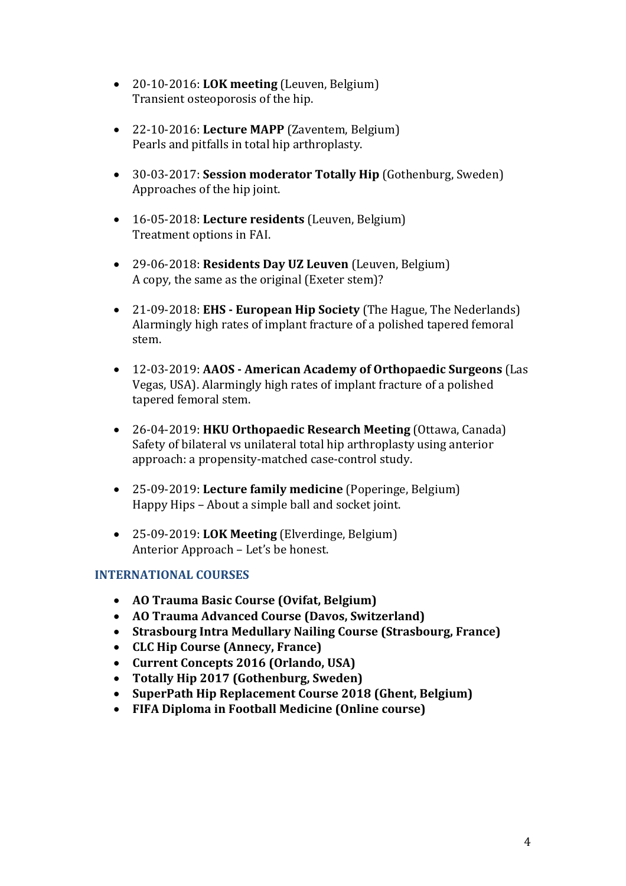- 20-10-2016: LOK meeting (Leuven, Belgium) Transient osteoporosis of the hip.
- 22-10-2016: Lecture MAPP (Zaventem, Belgium) Pearls and pitfalls in total hip arthroplasty.
- 30-03-2017: **Session moderator Totally Hip** (Gothenburg, Sweden) Approaches of the hip joint.
- 16-05-2018: Lecture residents (Leuven, Belgium) Treatment options in FAI.
- 29-06-2018: **Residents Day UZ Leuven** (Leuven, Belgium) A copy, the same as the original (Exeter stem)?
- 21-09-2018: **EHS European Hip Society** (The Hague, The Nederlands) Alarmingly high rates of implant fracture of a polished tapered femoral stem.
- 12-03-2019: AAOS American Academy of Orthopaedic Surgeons (Las Vegas, USA). Alarmingly high rates of implant fracture of a polished tapered femoral stem.
- 26-04-2019: **HKU Orthopaedic Research Meeting** (Ottawa, Canada) Safety of bilateral vs unilateral total hip arthroplasty using anterior approach: a propensity-matched case-control study.
- 25-09-2019: Lecture family medicine (Poperinge, Belgium) Happy Hips - About a simple ball and socket joint.
- 25-09-2019: LOK Meeting (Elverdinge, Belgium) Anterior Approach – Let's be honest.

## **INTERNATIONAL COURSES**

- **AO Trauma Basic Course (Ovifat, Belgium)**
- **AO Trauma Advanced Course (Davos, Switzerland)**
- Strasbourg Intra Medullary Nailing Course *(Strasbourg, France)*
- **CLC Hip Course (Annecy, France)**
- **Current Concepts 2016 (Orlando, USA)**
- **Totally Hip 2017 (Gothenburg, Sweden)**
- SuperPath Hip Replacement Course 2018 (Ghent, Belgium)
- **FIFA Diploma in Football Medicine (Online course)**